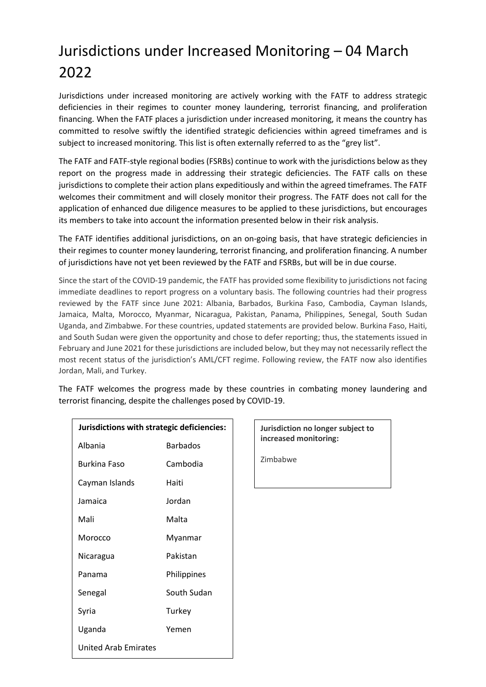## Jurisdictions under Increased Monitoring – 04 March 2022

Jurisdictions under increased monitoring are actively working with the FATF to address strategic deficiencies in their regimes to counter money laundering, terrorist financing, and proliferation financing. When the FATF places a jurisdiction under increased monitoring, it means the country has committed to resolve swiftly the identified strategic deficiencies within agreed timeframes and is subject to increased monitoring. This list is often externally referred to as the "grey list".

The FATF and FATF-style regional bodies (FSRBs) continue to work with the jurisdictions below as they report on the progress made in addressing their strategic deficiencies. The FATF calls on these jurisdictions to complete their action plans expeditiously and within the agreed timeframes. The FATF welcomes their commitment and will closely monitor their progress. The FATF does not call for the application of enhanced due diligence measures to be applied to these jurisdictions, but encourages its members to take into account the information presented below in their risk analysis.

The FATF identifies additional jurisdictions, on an on-going basis, that have strategic deficiencies in their regimes to counter money laundering, terrorist financing, and proliferation financing. A number of jurisdictions have not yet been reviewed by the FATF and FSRBs, but will be in due course.

Since the start of the COVID-19 pandemic, the FATF has provided some flexibility to jurisdictions not facing immediate deadlines to report progress on a voluntary basis. The following countries had their progress reviewed by the FATF since June 2021: Albania, Barbados, Burkina Faso, Cambodia, Cayman Islands, Jamaica, Malta, Morocco, Myanmar, Nicaragua, Pakistan, Panama, Philippines, Senegal, South Sudan Uganda, and Zimbabwe. For these countries, updated statements are provided below. Burkina Faso, Haiti, and South Sudan were given the opportunity and chose to defer reporting; thus, the statements issued in February and June 2021 for these jurisdictions are included below, but they may not necessarily reflect the most recent status of the jurisdiction's AML/CFT regime. Following review, the FATF now also identifies Jordan, Mali, and Turkey.

The FATF welcomes the progress made by these countries in combating money laundering and terrorist financing, despite the challenges posed by COVID-19.

| Jurisdictions with strategic deficiencies: |             |
|--------------------------------------------|-------------|
| Albania                                    | Barbados    |
| Burkina Faso                               | Cambodia    |
| Cayman Islands                             | Haiti       |
| Jamaica                                    | Jordan      |
| Mali                                       | Malta       |
| Morocco                                    | Myanmar     |
| Nicaragua                                  | Pakistan    |
| Panama                                     | Philippines |
| Senegal                                    | South Sudan |
| Syria                                      | Turkey      |
| Uganda                                     | Yemen       |
| United Arab Emirates                       |             |

**Jurisdiction no longer subject to increased monitoring:**

Zimbabwe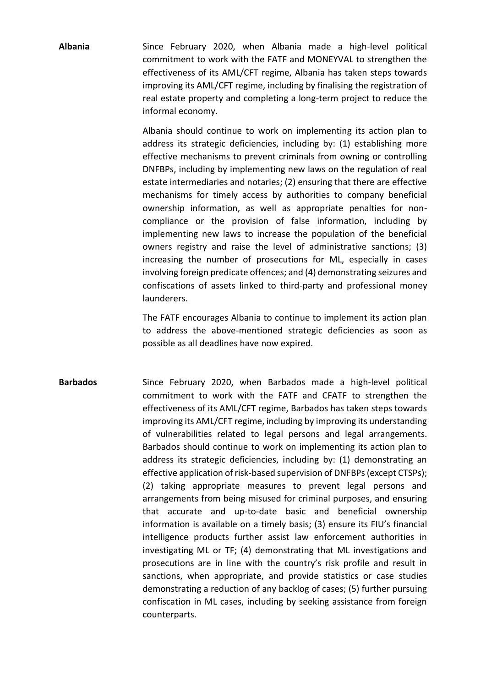**Albania** Since February 2020, when Albania made a high-level political commitment to work with the FATF and MONEYVAL to strengthen the effectiveness of its AML/CFT regime, Albania has taken steps towards improving its AML/CFT regime, including by finalising the registration of real estate property and completing a long-term project to reduce the informal economy.

> Albania should continue to work on implementing its action plan to address its strategic deficiencies, including by: (1) establishing more effective mechanisms to prevent criminals from owning or controlling DNFBPs, including by implementing new laws on the regulation of real estate intermediaries and notaries; (2) ensuring that there are effective mechanisms for timely access by authorities to company beneficial ownership information, as well as appropriate penalties for noncompliance or the provision of false information, including by implementing new laws to increase the population of the beneficial owners registry and raise the level of administrative sanctions; (3) increasing the number of prosecutions for ML, especially in cases involving foreign predicate offences; and (4) demonstrating seizures and confiscations of assets linked to third-party and professional money launderers.

> The FATF encourages Albania to continue to implement its action plan to address the above-mentioned strategic deficiencies as soon as possible as all deadlines have now expired.

**Barbados** Since February 2020, when Barbados made a high-level political commitment to work with the FATF and CFATF to strengthen the effectiveness of its AML/CFT regime, Barbados has taken steps towards improving its AML/CFT regime, including by improving its understanding of vulnerabilities related to legal persons and legal arrangements. Barbados should continue to work on implementing its action plan to address its strategic deficiencies, including by: (1) demonstrating an effective application of risk-based supervision of DNFBPs (except CTSPs); (2) taking appropriate measures to prevent legal persons and arrangements from being misused for criminal purposes, and ensuring that accurate and up-to-date basic and beneficial ownership information is available on a timely basis; (3) ensure its FIU's financial intelligence products further assist law enforcement authorities in investigating ML or TF; (4) demonstrating that ML investigations and prosecutions are in line with the country's risk profile and result in sanctions, when appropriate, and provide statistics or case studies demonstrating a reduction of any backlog of cases; (5) further pursuing confiscation in ML cases, including by seeking assistance from foreign counterparts.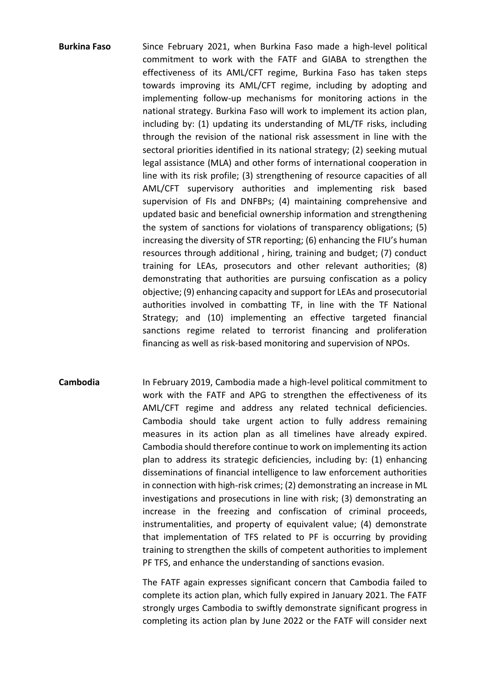- **Burkina Faso** Since February 2021, when Burkina Faso made a high-level political commitment to work with the FATF and GIABA to strengthen the effectiveness of its AML/CFT regime, Burkina Faso has taken steps towards improving its AML/CFT regime, including by adopting and implementing follow-up mechanisms for monitoring actions in the national strategy. Burkina Faso will work to implement its action plan, including by: (1) updating its understanding of ML/TF risks, including through the revision of the national risk assessment in line with the sectoral priorities identified in its national strategy; (2) seeking mutual legal assistance (MLA) and other forms of international cooperation in line with its risk profile; (3) strengthening of resource capacities of all AML/CFT supervisory authorities and implementing risk based supervision of FIs and DNFBPs; (4) maintaining comprehensive and updated basic and beneficial ownership information and strengthening the system of sanctions for violations of transparency obligations; (5) increasing the diversity of STR reporting; (6) enhancing the FIU's human resources through additional , hiring, training and budget; (7) conduct training for LEAs, prosecutors and other relevant authorities; (8) demonstrating that authorities are pursuing confiscation as a policy objective; (9) enhancing capacity and support for LEAs and prosecutorial authorities involved in combatting TF, in line with the TF National Strategy; and (10) implementing an effective targeted financial sanctions regime related to terrorist financing and proliferation financing as well as risk-based monitoring and supervision of NPOs.
- **Cambodia** In February 2019, Cambodia made a high-level political commitment to work with the FATF and APG to strengthen the effectiveness of its AML/CFT regime and address any related technical deficiencies. Cambodia should take urgent action to fully address remaining measures in its action plan as all timelines have already expired. Cambodia should therefore continue to work on implementing its action plan to address its strategic deficiencies, including by: (1) enhancing disseminations of financial intelligence to law enforcement authorities in connection with high-risk crimes; (2) demonstrating an increase in ML investigations and prosecutions in line with risk; (3) demonstrating an increase in the freezing and confiscation of criminal proceeds, instrumentalities, and property of equivalent value; (4) demonstrate that implementation of TFS related to PF is occurring by providing training to strengthen the skills of competent authorities to implement PF TFS, and enhance the understanding of sanctions evasion.

The FATF again expresses significant concern that Cambodia failed to complete its action plan, which fully expired in January 2021. The FATF strongly urges Cambodia to swiftly demonstrate significant progress in completing its action plan by June 2022 or the FATF will consider next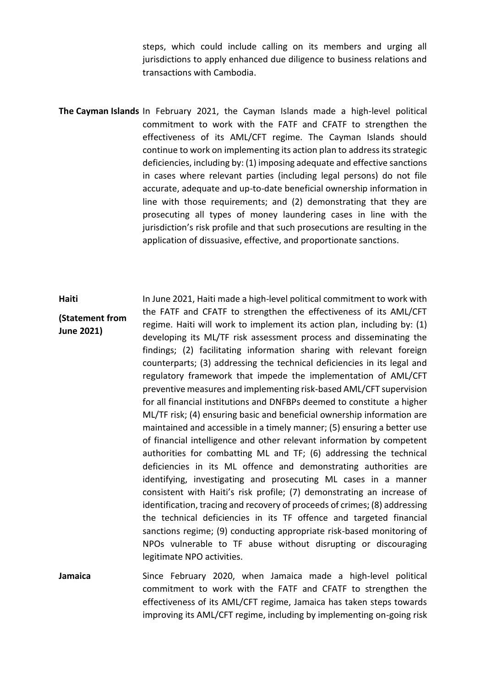steps, which could include calling on its members and urging all jurisdictions to apply enhanced due diligence to business relations and transactions with Cambodia.

**The Cayman Islands** In February 2021, the Cayman Islands made a high-level political commitment to work with the FATF and CFATF to strengthen the effectiveness of its AML/CFT regime. The Cayman Islands should continue to work on implementing its action plan to address its strategic deficiencies, including by: (1) imposing adequate and effective sanctions in cases where relevant parties (including legal persons) do not file accurate, adequate and up-to-date beneficial ownership information in line with those requirements; and (2) demonstrating that they are prosecuting all types of money laundering cases in line with the jurisdiction's risk profile and that such prosecutions are resulting in the application of dissuasive, effective, and proportionate sanctions.

**Haiti (Statement from June 2021)** In June 2021, Haiti made a high-level political commitment to work with the FATF and CFATF to strengthen the effectiveness of its AML/CFT regime. Haiti will work to implement its action plan, including by: (1) developing its ML/TF risk assessment process and disseminating the findings; (2) facilitating information sharing with relevant foreign counterparts; (3) addressing the technical deficiencies in its legal and regulatory framework that impede the implementation of AML/CFT preventive measures and implementing risk-based AML/CFT supervision for all financial institutions and DNFBPs deemed to constitute a higher ML/TF risk; (4) ensuring basic and beneficial ownership information are maintained and accessible in a timely manner; (5) ensuring a better use of financial intelligence and other relevant information by competent authorities for combatting ML and TF; (6) addressing the technical deficiencies in its ML offence and demonstrating authorities are identifying, investigating and prosecuting ML cases in a manner consistent with Haiti's risk profile; (7) demonstrating an increase of identification, tracing and recovery of proceeds of crimes; (8) addressing the technical deficiencies in its TF offence and targeted financial sanctions regime; (9) conducting appropriate risk-based monitoring of NPOs vulnerable to TF abuse without disrupting or discouraging legitimate NPO activities.

**Jamaica** Since February 2020, when Jamaica made a high-level political commitment to work with the FATF and CFATF to strengthen the effectiveness of its AML/CFT regime, Jamaica has taken steps towards improving its AML/CFT regime, including by implementing on-going risk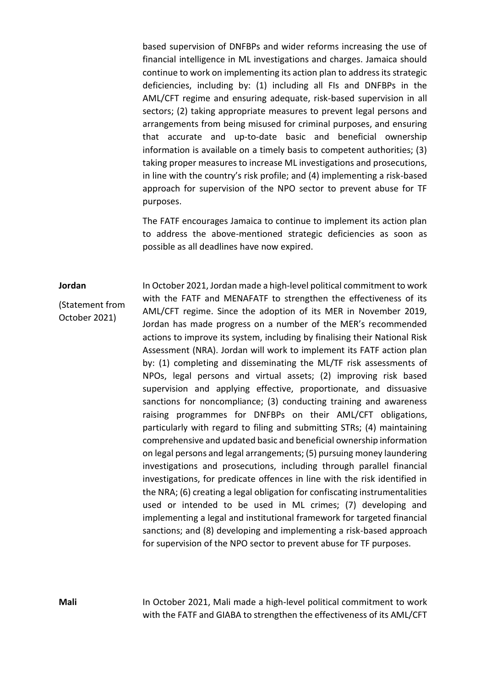based supervision of DNFBPs and wider reforms increasing the use of financial intelligence in ML investigations and charges. Jamaica should continue to work on implementing its action plan to address its strategic deficiencies, including by: (1) including all FIs and DNFBPs in the AML/CFT regime and ensuring adequate, risk-based supervision in all sectors; (2) taking appropriate measures to prevent legal persons and arrangements from being misused for criminal purposes, and ensuring that accurate and up-to-date basic and beneficial ownership information is available on a timely basis to competent authorities; (3) taking proper measures to increase ML investigations and prosecutions, in line with the country's risk profile; and (4) implementing a risk-based approach for supervision of the NPO sector to prevent abuse for TF purposes.

The FATF encourages Jamaica to continue to implement its action plan to address the above-mentioned strategic deficiencies as soon as possible as all deadlines have now expired.

## **Jordan**

(Statement from October 2021)

In October 2021, Jordan made a high-level political commitment to work with the FATF and MENAFATF to strengthen the effectiveness of its AML/CFT regime. Since the adoption of its MER in November 2019, Jordan has made progress on a number of the MER's recommended actions to improve its system, including by finalising their National Risk Assessment (NRA). Jordan will work to implement its FATF action plan by: (1) completing and disseminating the ML/TF risk assessments of NPOs, legal persons and virtual assets; (2) improving risk based supervision and applying effective, proportionate, and dissuasive sanctions for noncompliance; (3) conducting training and awareness raising programmes for DNFBPs on their AML/CFT obligations, particularly with regard to filing and submitting STRs; (4) maintaining comprehensive and updated basic and beneficial ownership information on legal persons and legal arrangements; (5) pursuing money laundering investigations and prosecutions, including through parallel financial investigations, for predicate offences in line with the risk identified in the NRA; (6) creating a legal obligation for confiscating instrumentalities used or intended to be used in ML crimes; (7) developing and implementing a legal and institutional framework for targeted financial sanctions; and (8) developing and implementing a risk-based approach for supervision of the NPO sector to prevent abuse for TF purposes.

**Mali** In October 2021, Mali made a high-level political commitment to work with the FATF and GIABA to strengthen the effectiveness of its AML/CFT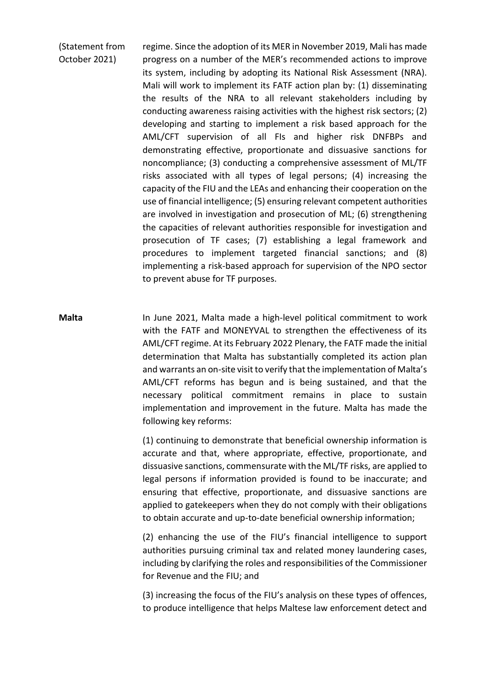(Statement from October 2021) regime. Since the adoption of its MER in November 2019, Mali has made progress on a number of the MER's recommended actions to improve its system, including by adopting its National Risk Assessment (NRA). Mali will work to implement its FATF action plan by: (1) disseminating the results of the NRA to all relevant stakeholders including by conducting awareness raising activities with the highest risk sectors; (2) developing and starting to implement a risk based approach for the AML/CFT supervision of all FIs and higher risk DNFBPs and demonstrating effective, proportionate and dissuasive sanctions for noncompliance; (3) conducting a comprehensive assessment of ML/TF risks associated with all types of legal persons; (4) increasing the capacity of the FIU and the LEAs and enhancing their cooperation on the use of financial intelligence; (5) ensuring relevant competent authorities are involved in investigation and prosecution of ML; (6) strengthening the capacities of relevant authorities responsible for investigation and prosecution of TF cases; (7) establishing a legal framework and procedures to implement targeted financial sanctions; and (8) implementing a risk-based approach for supervision of the NPO sector to prevent abuse for TF purposes.

**Malta** In June 2021, Malta made a high-level political commitment to work with the FATF and MONEYVAL to strengthen the effectiveness of its AML/CFT regime. At its February 2022 Plenary, the FATF made the initial determination that Malta has substantially completed its action plan and warrants an on-site visit to verify that the implementation of Malta's AML/CFT reforms has begun and is being sustained, and that the necessary political commitment remains in place to sustain implementation and improvement in the future. Malta has made the following key reforms:

> (1) continuing to demonstrate that beneficial ownership information is accurate and that, where appropriate, effective, proportionate, and dissuasive sanctions, commensurate with the ML/TF risks, are applied to legal persons if information provided is found to be inaccurate; and ensuring that effective, proportionate, and dissuasive sanctions are applied to gatekeepers when they do not comply with their obligations to obtain accurate and up-to-date beneficial ownership information;

> (2) enhancing the use of the FIU's financial intelligence to support authorities pursuing criminal tax and related money laundering cases, including by clarifying the roles and responsibilities of the Commissioner for Revenue and the FIU; and

> (3) increasing the focus of the FIU's analysis on these types of offences, to produce intelligence that helps Maltese law enforcement detect and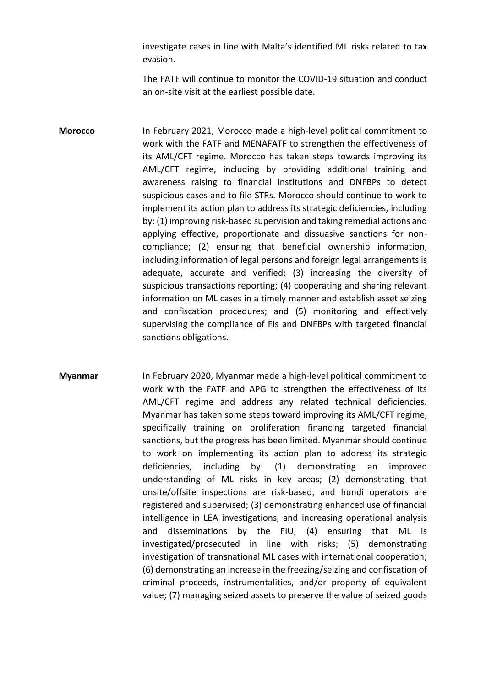investigate cases in line with Malta's identified ML risks related to tax evasion.

The FATF will continue to monitor the COVID-19 situation and conduct an on-site visit at the earliest possible date.

**Morocco** In February 2021, Morocco made a high-level political commitment to work with the FATF and MENAFATF to strengthen the effectiveness of its AML/CFT regime. Morocco has taken steps towards improving its AML/CFT regime, including by providing additional training and awareness raising to financial institutions and DNFBPs to detect suspicious cases and to file STRs. Morocco should continue to work to implement its action plan to address its strategic deficiencies, including by: (1) improving risk-based supervision and taking remedial actions and applying effective, proportionate and dissuasive sanctions for noncompliance; (2) ensuring that beneficial ownership information, including information of legal persons and foreign legal arrangements is adequate, accurate and verified; (3) increasing the diversity of suspicious transactions reporting; (4) cooperating and sharing relevant information on ML cases in a timely manner and establish asset seizing and confiscation procedures; and (5) monitoring and effectively supervising the compliance of FIs and DNFBPs with targeted financial sanctions obligations.

**Myanmar** In February 2020, Myanmar made a high-level political commitment to work with the FATF and APG to strengthen the effectiveness of its AML/CFT regime and address any related technical deficiencies. Myanmar has taken some steps toward improving its AML/CFT regime, specifically training on proliferation financing targeted financial sanctions, but the progress has been limited. Myanmar should continue to work on implementing its action plan to address its strategic deficiencies, including by: (1) demonstrating an improved understanding of ML risks in key areas; (2) demonstrating that onsite/offsite inspections are risk-based, and hundi operators are registered and supervised; (3) demonstrating enhanced use of financial intelligence in LEA investigations, and increasing operational analysis and disseminations by the FIU; (4) ensuring that ML is investigated/prosecuted in line with risks; (5) demonstrating investigation of transnational ML cases with international cooperation; (6) demonstrating an increase in the freezing/seizing and confiscation of criminal proceeds, instrumentalities, and/or property of equivalent value; (7) managing seized assets to preserve the value of seized goods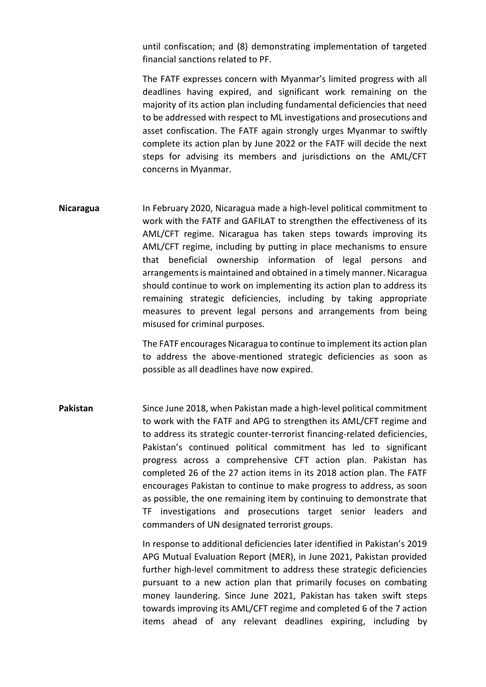until confiscation; and (8) demonstrating implementation of targeted financial sanctions related to PF.

The FATF expresses concern with Myanmar's limited progress with all deadlines having expired, and significant work remaining on the majority of its action plan including fundamental deficiencies that need to be addressed with respect to ML investigations and prosecutions and asset confiscation. The FATF again strongly urges Myanmar to swiftly complete its action plan by June 2022 or the FATF will decide the next steps for advising its members and jurisdictions on the AML/CFT concerns in Myanmar.

**Nicaragua** In February 2020, Nicaragua made a high-level political commitment to work with the FATF and GAFILAT to strengthen the effectiveness of its AML/CFT regime. Nicaragua has taken steps towards improving its AML/CFT regime, including by putting in place mechanisms to ensure that beneficial ownership information of legal persons and arrangements is maintained and obtained in a timely manner. Nicaragua should continue to work on implementing its action plan to address its remaining strategic deficiencies, including by taking appropriate measures to prevent legal persons and arrangements from being misused for criminal purposes.

> The FATF encourages Nicaragua to continue to implement its action plan to address the above-mentioned strategic deficiencies as soon as possible as all deadlines have now expired.

**Pakistan** Since June 2018, when Pakistan made a high-level political commitment to work with the FATF and APG to strengthen its AML/CFT regime and to address its strategic counter-terrorist financing-related deficiencies, Pakistan's continued political commitment has led to significant progress across a comprehensive CFT action plan. Pakistan has completed 26 of the 27 action items in its 2018 action plan. The FATF encourages Pakistan to continue to make progress to address, as soon as possible, the one remaining item by continuing to demonstrate that TF investigations and prosecutions target senior leaders and commanders of UN designated terrorist groups.

> In response to additional deficiencies later identified in Pakistan's 2019 APG Mutual Evaluation Report (MER), in June 2021, Pakistan provided further high-level commitment to address these strategic deficiencies pursuant to a new action plan that primarily focuses on combating money laundering. Since June 2021, Pakistan has taken swift steps towards improving its AML/CFT regime and completed 6 of the 7 action items ahead of any relevant deadlines expiring, including by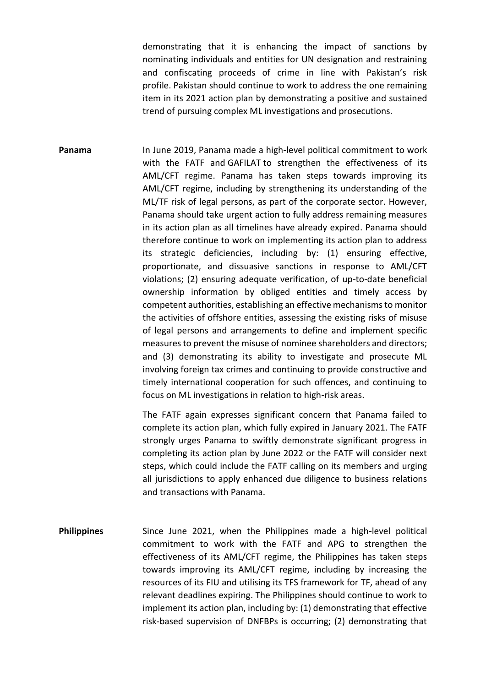demonstrating that it is enhancing the impact of sanctions by nominating individuals and entities for UN designation and restraining and confiscating proceeds of crime in line with Pakistan's risk profile. Pakistan should continue to work to address the one remaining item in its 2021 action plan by demonstrating a positive and sustained trend of pursuing complex ML investigations and prosecutions.

**Panama** In June 2019, Panama made a high-level political commitment to work with the FATF and GAFILAT to strengthen the effectiveness of its AML/CFT regime. Panama has taken steps towards improving its AML/CFT regime, including by strengthening its understanding of the ML/TF risk of legal persons, as part of the corporate sector. However, Panama should take urgent action to fully address remaining measures in its action plan as all timelines have already expired. Panama should therefore continue to work on implementing its action plan to address its strategic deficiencies, including by: (1) ensuring effective, proportionate, and dissuasive sanctions in response to AML/CFT violations; (2) ensuring adequate verification, of up-to-date beneficial ownership information by obliged entities and timely access by competent authorities, establishing an effective mechanisms to monitor the activities of offshore entities, assessing the existing risks of misuse of legal persons and arrangements to define and implement specific measures to prevent the misuse of nominee shareholders and directors; and (3) demonstrating its ability to investigate and prosecute ML involving foreign tax crimes and continuing to provide constructive and timely international cooperation for such offences, and continuing to focus on ML investigations in relation to high-risk areas.

> The FATF again expresses significant concern that Panama failed to complete its action plan, which fully expired in January 2021. The FATF strongly urges Panama to swiftly demonstrate significant progress in completing its action plan by June 2022 or the FATF will consider next steps, which could include the FATF calling on its members and urging all jurisdictions to apply enhanced due diligence to business relations and transactions with Panama.

**Philippines** Since June 2021, when the Philippines made a high-level political commitment to work with the FATF and APG to strengthen the effectiveness of its AML/CFT regime, the Philippines has taken steps towards improving its AML/CFT regime, including by increasing the resources of its FIU and utilising its TFS framework for TF, ahead of any relevant deadlines expiring. The Philippines should continue to work to implement its action plan, including by: (1) demonstrating that effective risk-based supervision of DNFBPs is occurring; (2) demonstrating that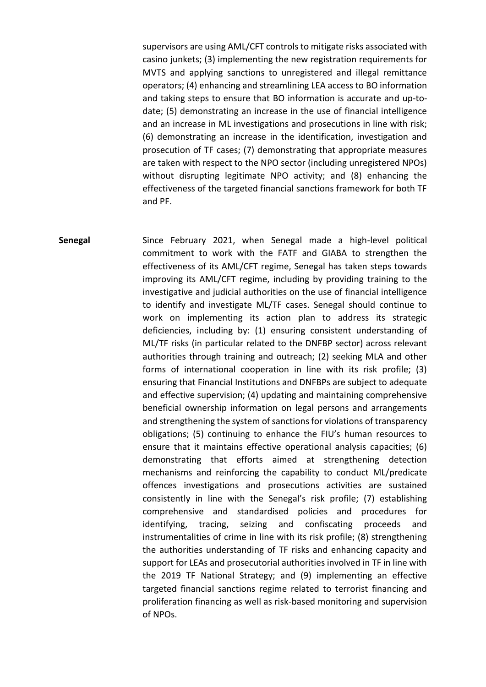supervisors are using AML/CFT controls to mitigate risks associated with casino junkets; (3) implementing the new registration requirements for MVTS and applying sanctions to unregistered and illegal remittance operators; (4) enhancing and streamlining LEA access to BO information and taking steps to ensure that BO information is accurate and up-todate; (5) demonstrating an increase in the use of financial intelligence and an increase in ML investigations and prosecutions in line with risk; (6) demonstrating an increase in the identification, investigation and prosecution of TF cases; (7) demonstrating that appropriate measures are taken with respect to the NPO sector (including unregistered NPOs) without disrupting legitimate NPO activity; and (8) enhancing the effectiveness of the targeted financial sanctions framework for both TF and PF.

**Senegal** Since February 2021, when Senegal made a high-level political commitment to work with the FATF and GIABA to strengthen the effectiveness of its AML/CFT regime, Senegal has taken steps towards improving its AML/CFT regime, including by providing training to the investigative and judicial authorities on the use of financial intelligence to identify and investigate ML/TF cases. Senegal should continue to work on implementing its action plan to address its strategic deficiencies, including by: (1) ensuring consistent understanding of ML/TF risks (in particular related to the DNFBP sector) across relevant authorities through training and outreach; (2) seeking MLA and other forms of international cooperation in line with its risk profile; (3) ensuring that Financial Institutions and DNFBPs are subject to adequate and effective supervision; (4) updating and maintaining comprehensive beneficial ownership information on legal persons and arrangements and strengthening the system of sanctions for violations of transparency obligations; (5) continuing to enhance the FIU's human resources to ensure that it maintains effective operational analysis capacities; (6) demonstrating that efforts aimed at strengthening detection mechanisms and reinforcing the capability to conduct ML/predicate offences investigations and prosecutions activities are sustained consistently in line with the Senegal's risk profile; (7) establishing comprehensive and standardised policies and procedures for identifying, tracing, seizing and confiscating proceeds and instrumentalities of crime in line with its risk profile; (8) strengthening the authorities understanding of TF risks and enhancing capacity and support for LEAs and prosecutorial authorities involved in TF in line with the 2019 TF National Strategy; and (9) implementing an effective targeted financial sanctions regime related to terrorist financing and proliferation financing as well as risk-based monitoring and supervision of NPOs.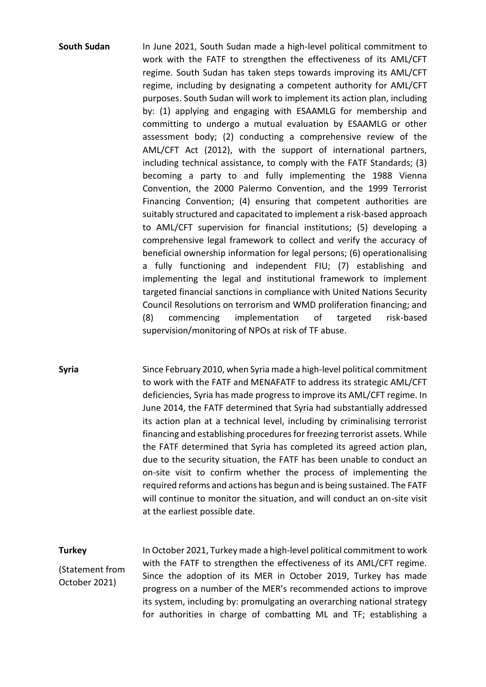**South Sudan** In June 2021, South Sudan made a high-level political commitment to work with the FATF to strengthen the effectiveness of its AML/CFT regime. South Sudan has taken steps towards improving its AML/CFT regime, including by designating a competent authority for AML/CFT purposes. South Sudan will work to implement its action plan, including by: (1) applying and engaging with ESAAMLG for membership and committing to undergo a mutual evaluation by ESAAMLG or other assessment body; (2) conducting a comprehensive review of the AML/CFT Act (2012), with the support of international partners, including technical assistance, to comply with the FATF Standards; (3) becoming a party to and fully implementing the 1988 Vienna Convention, the 2000 Palermo Convention, and the 1999 Terrorist Financing Convention; (4) ensuring that competent authorities are suitably structured and capacitated to implement a risk-based approach to AML/CFT supervision for financial institutions; (5) developing a comprehensive legal framework to collect and verify the accuracy of beneficial ownership information for legal persons; (6) operationalising a fully functioning and independent FIU; (7) establishing and implementing the legal and institutional framework to implement targeted financial sanctions in compliance with United Nations Security Council Resolutions on terrorism and WMD proliferation financing; and (8) commencing implementation of targeted risk-based supervision/monitoring of NPOs at risk of TF abuse.

**Syria** Since February 2010, when Syria made a high-level political commitment to work with the FATF and MENAFATF to address its strategic AML/CFT deficiencies, Syria has made progress to improve its AML/CFT regime. In June 2014, the FATF determined that Syria had substantially addressed its action plan at a technical level, including by criminalising terrorist financing and establishing procedures for freezing terrorist assets. While the FATF determined that Syria has completed its agreed action plan, due to the security situation, the FATF has been unable to conduct an on-site visit to confirm whether the process of implementing the required reforms and actions has begun and is being sustained. The FATF will continue to monitor the situation, and will conduct an on-site visit at the earliest possible date.

**Turkey** (Statement from October 2021) In October 2021, Turkey made a high-level political commitment to work with the FATF to strengthen the effectiveness of its AML/CFT regime. Since the adoption of its MER in October 2019, Turkey has made progress on a number of the MER's recommended actions to improve its system, including by: promulgating an overarching national strategy for authorities in charge of combatting ML and TF; establishing a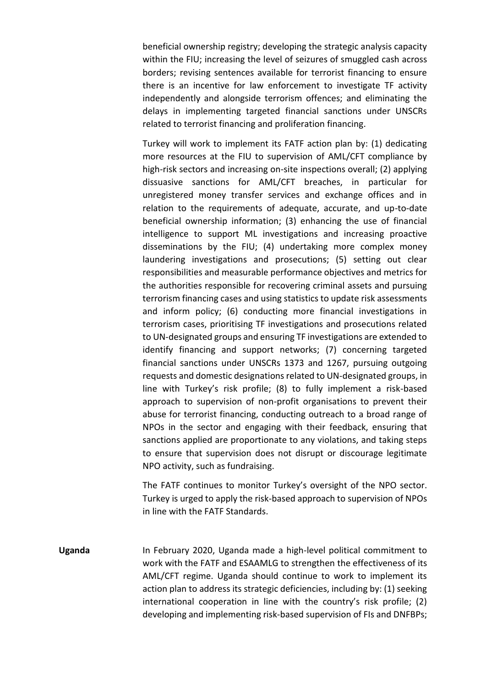beneficial ownership registry; developing the strategic analysis capacity within the FIU; increasing the level of seizures of smuggled cash across borders; revising sentences available for terrorist financing to ensure there is an incentive for law enforcement to investigate TF activity independently and alongside terrorism offences; and eliminating the delays in implementing targeted financial sanctions under UNSCRs related to terrorist financing and proliferation financing.

Turkey will work to implement its FATF action plan by: (1) dedicating more resources at the FIU to supervision of AML/CFT compliance by high-risk sectors and increasing on-site inspections overall; (2) applying dissuasive sanctions for AML/CFT breaches, in particular for unregistered money transfer services and exchange offices and in relation to the requirements of adequate, accurate, and up-to-date beneficial ownership information; (3) enhancing the use of financial intelligence to support ML investigations and increasing proactive disseminations by the FIU; (4) undertaking more complex money laundering investigations and prosecutions; (5) setting out clear responsibilities and measurable performance objectives and metrics for the authorities responsible for recovering criminal assets and pursuing terrorism financing cases and using statistics to update risk assessments and inform policy; (6) conducting more financial investigations in terrorism cases, prioritising TF investigations and prosecutions related to UN-designated groups and ensuring TF investigations are extended to identify financing and support networks; (7) concerning targeted financial sanctions under UNSCRs 1373 and 1267, pursuing outgoing requests and domestic designations related to UN-designated groups, in line with Turkey's risk profile; (8) to fully implement a risk-based approach to supervision of non-profit organisations to prevent their abuse for terrorist financing, conducting outreach to a broad range of NPOs in the sector and engaging with their feedback, ensuring that sanctions applied are proportionate to any violations, and taking steps to ensure that supervision does not disrupt or discourage legitimate NPO activity, such as fundraising.

The FATF continues to monitor Turkey's oversight of the NPO sector. Turkey is urged to apply the risk-based approach to supervision of NPOs in line with the FATF Standards.

**Uganda** In February 2020, Uganda made a high-level political commitment to work with the FATF and ESAAMLG to strengthen the effectiveness of its AML/CFT regime. Uganda should continue to work to implement its action plan to address its strategic deficiencies, including by: (1) seeking international cooperation in line with the country's risk profile; (2) developing and implementing risk-based supervision of FIs and DNFBPs;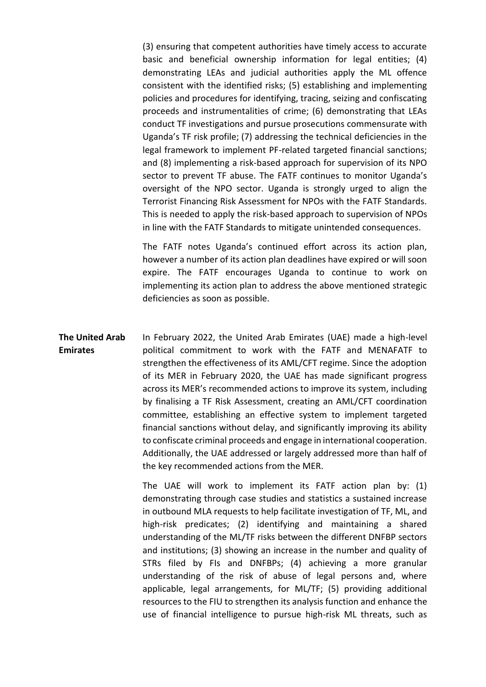(3) ensuring that competent authorities have timely access to accurate basic and beneficial ownership information for legal entities; (4) demonstrating LEAs and judicial authorities apply the ML offence consistent with the identified risks; (5) establishing and implementing policies and procedures for identifying, tracing, seizing and confiscating proceeds and instrumentalities of crime; (6) demonstrating that LEAs conduct TF investigations and pursue prosecutions commensurate with Uganda's TF risk profile; (7) addressing the technical deficiencies in the legal framework to implement PF-related targeted financial sanctions; and (8) implementing a risk-based approach for supervision of its NPO sector to prevent TF abuse. The FATF continues to monitor Uganda's oversight of the NPO sector. Uganda is strongly urged to align the Terrorist Financing Risk Assessment for NPOs with the FATF Standards. This is needed to apply the risk-based approach to supervision of NPOs in line with the FATF Standards to mitigate unintended consequences.

The FATF notes Uganda's continued effort across its action plan, however a number of its action plan deadlines have expired or will soon expire. The FATF encourages Uganda to continue to work on implementing its action plan to address the above mentioned strategic deficiencies as soon as possible.

**The United Arab Emirates** In February 2022, the United Arab Emirates (UAE) made a high-level political commitment to work with the FATF and MENAFATF to strengthen the effectiveness of its AML/CFT regime. Since the adoption of its MER in February 2020, the UAE has made significant progress across its MER's recommended actions to improve its system, including by finalising a TF Risk Assessment, creating an AML/CFT coordination committee, establishing an effective system to implement targeted financial sanctions without delay, and significantly improving its ability to confiscate criminal proceeds and engage in international cooperation. Additionally, the UAE addressed or largely addressed more than half of the key recommended actions from the MER.

> The UAE will work to implement its FATF action plan by: (1) demonstrating through case studies and statistics a sustained increase in outbound MLA requests to help facilitate investigation of TF, ML, and high-risk predicates; (2) identifying and maintaining a shared understanding of the ML/TF risks between the different DNFBP sectors and institutions; (3) showing an increase in the number and quality of STRs filed by FIs and DNFBPs; (4) achieving a more granular understanding of the risk of abuse of legal persons and, where applicable, legal arrangements, for ML/TF; (5) providing additional resources to the FIU to strengthen its analysis function and enhance the use of financial intelligence to pursue high-risk ML threats, such as